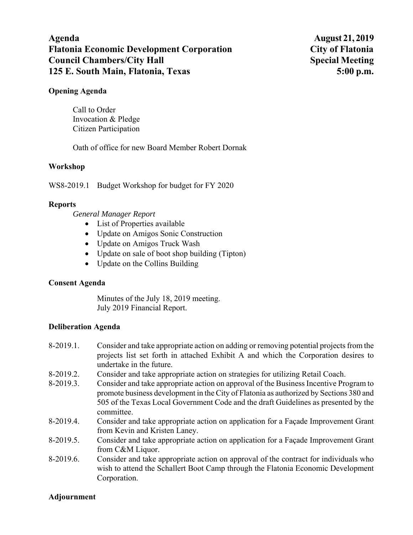# **Agenda August 21, 2019 Flatonia Economic Development Corporation City of Flatonia Council Chambers/City Hall Special Meeting Special Meeting 125 E. South Main, Flatonia, Texas 5:00 p.m.**

### **Opening Agenda**

Call to Order Invocation & Pledge Citizen Participation

Oath of office for new Board Member Robert Dornak

## **Workshop**

WS8-2019.1 Budget Workshop for budget for FY 2020

#### **Reports**

*General Manager Report* 

- List of Properties available
- Update on Amigos Sonic Construction
- Update on Amigos Truck Wash
- Update on sale of boot shop building (Tipton)
- Update on the Collins Building

#### **Consent Agenda**

Minutes of the July 18, 2019 meeting. July 2019 Financial Report.

#### **Deliberation Agenda**

- 8-2019.1. Consider and take appropriate action on adding or removing potential projects from the projects list set forth in attached Exhibit A and which the Corporation desires to undertake in the future.
- 8-2019.2. Consider and take appropriate action on strategies for utilizing Retail Coach.
- 8-2019.3. Consider and take appropriate action on approval of the Business Incentive Program to promote business development in the City of Flatonia as authorized by Sections 380 and 505 of the Texas Local Government Code and the draft Guidelines as presented by the committee.
- 8-2019.4. Consider and take appropriate action on application for a Façade Improvement Grant from Kevin and Kristen Laney.
- 8-2019.5. Consider and take appropriate action on application for a Façade Improvement Grant from C&M Liquor.
- 8-2019.6. Consider and take appropriate action on approval of the contract for individuals who wish to attend the Schallert Boot Camp through the Flatonia Economic Development Corporation.

#### **Adjournment**